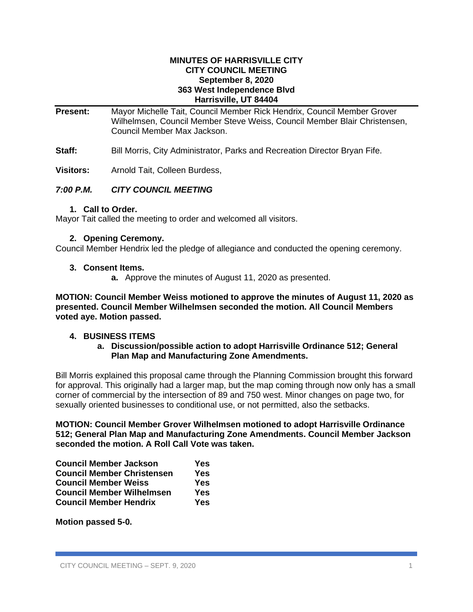#### **MINUTES OF HARRISVILLE CITY CITY COUNCIL MEETING September 8, 2020 363 West Independence Blvd Harrisville, UT 84404**

- **Present:** Mayor Michelle Tait, Council Member Rick Hendrix, Council Member Grover Wilhelmsen, Council Member Steve Weiss, Council Member Blair Christensen, Council Member Max Jackson.
- **Staff:** Bill Morris, City Administrator, Parks and Recreation Director Bryan Fife.

**Visitors:** Arnold Tait, Colleen Burdess,

## *7:00 P.M. CITY COUNCIL MEETING*

#### **1. Call to Order.**

Mayor Tait called the meeting to order and welcomed all visitors.

#### **2. Opening Ceremony.**

Council Member Hendrix led the pledge of allegiance and conducted the opening ceremony.

#### **3. Consent Items.**

**a.** Approve the minutes of August 11, 2020 as presented.

**MOTION: Council Member Weiss motioned to approve the minutes of August 11, 2020 as presented. Council Member Wilhelmsen seconded the motion. All Council Members voted aye. Motion passed.**

#### **4. BUSINESS ITEMS**

**a. Discussion/possible action to adopt Harrisville Ordinance 512; General Plan Map and Manufacturing Zone Amendments.**

Bill Morris explained this proposal came through the Planning Commission brought this forward for approval. This originally had a larger map, but the map coming through now only has a small corner of commercial by the intersection of 89 and 750 west. Minor changes on page two, for sexually oriented businesses to conditional use, or not permitted, also the setbacks.

**MOTION: Council Member Grover Wilhelmsen motioned to adopt Harrisville Ordinance 512; General Plan Map and Manufacturing Zone Amendments. Council Member Jackson seconded the motion. A Roll Call Vote was taken.**

| <b>Council Member Jackson</b>     | Yes |
|-----------------------------------|-----|
| <b>Council Member Christensen</b> | Yes |
| <b>Council Member Weiss</b>       | Yes |
| <b>Council Member Wilhelmsen</b>  | Yes |
| <b>Council Member Hendrix</b>     | Yes |

**Motion passed 5-0.**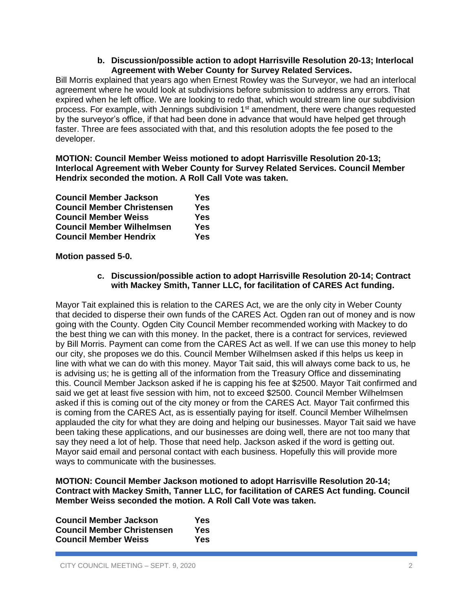## **b. Discussion/possible action to adopt Harrisville Resolution 20-13; Interlocal Agreement with Weber County for Survey Related Services.**

Bill Morris explained that years ago when Ernest Rowley was the Surveyor, we had an interlocal agreement where he would look at subdivisions before submission to address any errors. That expired when he left office. We are looking to redo that, which would stream line our subdivision process. For example, with Jennings subdivision  $1<sup>st</sup>$  amendment, there were changes requested by the surveyor's office, if that had been done in advance that would have helped get through faster. Three are fees associated with that, and this resolution adopts the fee posed to the developer.

**MOTION: Council Member Weiss motioned to adopt Harrisville Resolution 20-13; Interlocal Agreement with Weber County for Survey Related Services. Council Member Hendrix seconded the motion. A Roll Call Vote was taken.**

| <b>Council Member Jackson</b>     | Yes |
|-----------------------------------|-----|
| <b>Council Member Christensen</b> | Yes |
| <b>Council Member Weiss</b>       | Yes |
| <b>Council Member Wilhelmsen</b>  | Yes |
| <b>Council Member Hendrix</b>     | Yes |

## **Motion passed 5-0.**

## **c. Discussion/possible action to adopt Harrisville Resolution 20-14; Contract with Mackey Smith, Tanner LLC, for facilitation of CARES Act funding.**

Mayor Tait explained this is relation to the CARES Act, we are the only city in Weber County that decided to disperse their own funds of the CARES Act. Ogden ran out of money and is now going with the County. Ogden City Council Member recommended working with Mackey to do the best thing we can with this money. In the packet, there is a contract for services, reviewed by Bill Morris. Payment can come from the CARES Act as well. If we can use this money to help our city, she proposes we do this. Council Member Wilhelmsen asked if this helps us keep in line with what we can do with this money. Mayor Tait said, this will always come back to us, he is advising us; he is getting all of the information from the Treasury Office and disseminating this. Council Member Jackson asked if he is capping his fee at \$2500. Mayor Tait confirmed and said we get at least five session with him, not to exceed \$2500. Council Member Wilhelmsen asked if this is coming out of the city money or from the CARES Act. Mayor Tait confirmed this is coming from the CARES Act, as is essentially paying for itself. Council Member Wilhelmsen applauded the city for what they are doing and helping our businesses. Mayor Tait said we have been taking these applications, and our businesses are doing well, there are not too many that say they need a lot of help. Those that need help. Jackson asked if the word is getting out. Mayor said email and personal contact with each business. Hopefully this will provide more ways to communicate with the businesses.

## **MOTION: Council Member Jackson motioned to adopt Harrisville Resolution 20-14; Contract with Mackey Smith, Tanner LLC, for facilitation of CARES Act funding. Council Member Weiss seconded the motion. A Roll Call Vote was taken.**

| <b>Council Member Jackson</b>     | Yes |
|-----------------------------------|-----|
| <b>Council Member Christensen</b> | Yes |
| <b>Council Member Weiss</b>       | Yes |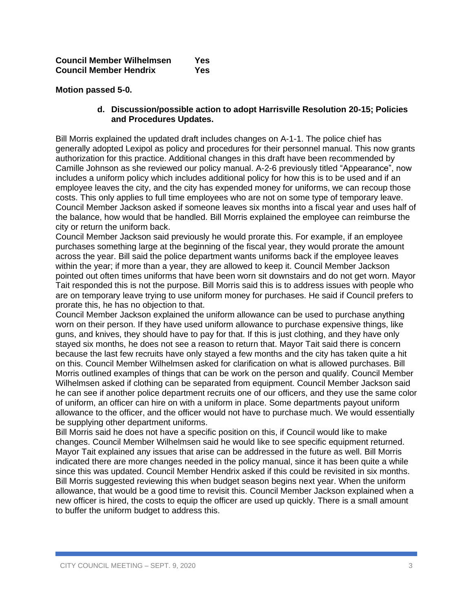**Motion passed 5-0.**

## **d. Discussion/possible action to adopt Harrisville Resolution 20-15; Policies and Procedures Updates.**

Bill Morris explained the updated draft includes changes on A-1-1. The police chief has generally adopted Lexipol as policy and procedures for their personnel manual. This now grants authorization for this practice. Additional changes in this draft have been recommended by Camille Johnson as she reviewed our policy manual. A-2-6 previously titled "Appearance", now includes a uniform policy which includes additional policy for how this is to be used and if an employee leaves the city, and the city has expended money for uniforms, we can recoup those costs. This only applies to full time employees who are not on some type of temporary leave. Council Member Jackson asked if someone leaves six months into a fiscal year and uses half of the balance, how would that be handled. Bill Morris explained the employee can reimburse the city or return the uniform back.

Council Member Jackson said previously he would prorate this. For example, if an employee purchases something large at the beginning of the fiscal year, they would prorate the amount across the year. Bill said the police department wants uniforms back if the employee leaves within the year; if more than a year, they are allowed to keep it. Council Member Jackson pointed out often times uniforms that have been worn sit downstairs and do not get worn. Mayor Tait responded this is not the purpose. Bill Morris said this is to address issues with people who are on temporary leave trying to use uniform money for purchases. He said if Council prefers to prorate this, he has no objection to that.

Council Member Jackson explained the uniform allowance can be used to purchase anything worn on their person. If they have used uniform allowance to purchase expensive things, like guns, and knives, they should have to pay for that. If this is just clothing, and they have only stayed six months, he does not see a reason to return that. Mayor Tait said there is concern because the last few recruits have only stayed a few months and the city has taken quite a hit on this. Council Member Wilhelmsen asked for clarification on what is allowed purchases. Bill Morris outlined examples of things that can be work on the person and qualify. Council Member Wilhelmsen asked if clothing can be separated from equipment. Council Member Jackson said he can see if another police department recruits one of our officers, and they use the same color of uniform, an officer can hire on with a uniform in place. Some departments payout uniform allowance to the officer, and the officer would not have to purchase much. We would essentially be supplying other department uniforms.

Bill Morris said he does not have a specific position on this, if Council would like to make changes. Council Member Wilhelmsen said he would like to see specific equipment returned. Mayor Tait explained any issues that arise can be addressed in the future as well. Bill Morris indicated there are more changes needed in the policy manual, since it has been quite a while since this was updated. Council Member Hendrix asked if this could be revisited in six months. Bill Morris suggested reviewing this when budget season begins next year. When the uniform allowance, that would be a good time to revisit this. Council Member Jackson explained when a new officer is hired, the costs to equip the officer are used up quickly. There is a small amount to buffer the uniform budget to address this.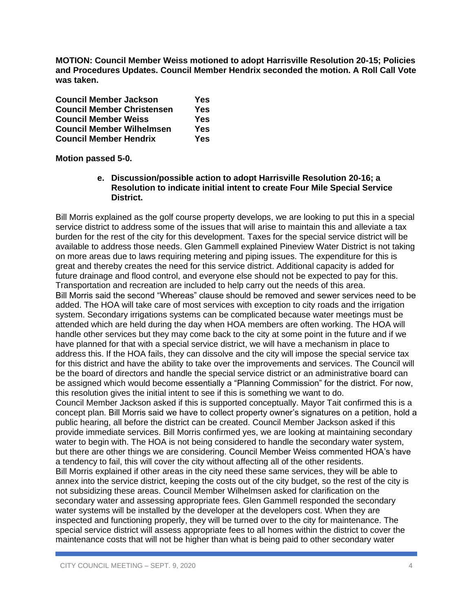**MOTION: Council Member Weiss motioned to adopt Harrisville Resolution 20-15; Policies and Procedures Updates. Council Member Hendrix seconded the motion. A Roll Call Vote was taken.**

| <b>Council Member Jackson</b>     | Yes |
|-----------------------------------|-----|
| <b>Council Member Christensen</b> | Yes |
| <b>Council Member Weiss</b>       | Yes |
| <b>Council Member Wilhelmsen</b>  | Yes |
| <b>Council Member Hendrix</b>     | Yes |

**Motion passed 5-0.**

## **e. Discussion/possible action to adopt Harrisville Resolution 20-16; a Resolution to indicate initial intent to create Four Mile Special Service District.**

Bill Morris explained as the golf course property develops, we are looking to put this in a special service district to address some of the issues that will arise to maintain this and alleviate a tax burden for the rest of the city for this development. Taxes for the special service district will be available to address those needs. Glen Gammell explained Pineview Water District is not taking on more areas due to laws requiring metering and piping issues. The expenditure for this is great and thereby creates the need for this service district. Additional capacity is added for future drainage and flood control, and everyone else should not be expected to pay for this. Transportation and recreation are included to help carry out the needs of this area. Bill Morris said the second "Whereas" clause should be removed and sewer services need to be added. The HOA will take care of most services with exception to city roads and the irrigation system. Secondary irrigations systems can be complicated because water meetings must be attended which are held during the day when HOA members are often working. The HOA will handle other services but they may come back to the city at some point in the future and if we have planned for that with a special service district, we will have a mechanism in place to address this. If the HOA fails, they can dissolve and the city will impose the special service tax for this district and have the ability to take over the improvements and services. The Council will be the board of directors and handle the special service district or an administrative board can be assigned which would become essentially a "Planning Commission" for the district. For now, this resolution gives the initial intent to see if this is something we want to do. Council Member Jackson asked if this is supported conceptually. Mayor Tait confirmed this is a concept plan. Bill Morris said we have to collect property owner's signatures on a petition, hold a public hearing, all before the district can be created. Council Member Jackson asked if this provide immediate services. Bill Morris confirmed yes, we are looking at maintaining secondary water to begin with. The HOA is not being considered to handle the secondary water system, but there are other things we are considering. Council Member Weiss commented HOA's have a tendency to fail, this will cover the city without affecting all of the other residents. Bill Morris explained if other areas in the city need these same services, they will be able to annex into the service district, keeping the costs out of the city budget, so the rest of the city is not subsidizing these areas. Council Member Wilhelmsen asked for clarification on the secondary water and assessing appropriate fees. Glen Gammell responded the secondary water systems will be installed by the developer at the developers cost. When they are inspected and functioning properly, they will be turned over to the city for maintenance. The special service district will assess appropriate fees to all homes within the district to cover the maintenance costs that will not be higher than what is being paid to other secondary water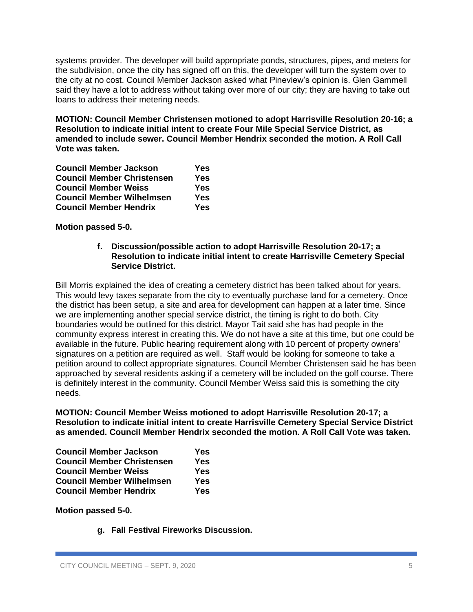systems provider. The developer will build appropriate ponds, structures, pipes, and meters for the subdivision, once the city has signed off on this, the developer will turn the system over to the city at no cost. Council Member Jackson asked what Pineview's opinion is. Glen Gammell said they have a lot to address without taking over more of our city; they are having to take out loans to address their metering needs.

**MOTION: Council Member Christensen motioned to adopt Harrisville Resolution 20-16; a Resolution to indicate initial intent to create Four Mile Special Service District, as amended to include sewer. Council Member Hendrix seconded the motion. A Roll Call Vote was taken.**

| <b>Council Member Jackson</b>     | Yes |
|-----------------------------------|-----|
| <b>Council Member Christensen</b> | Yes |
| <b>Council Member Weiss</b>       | Yes |
| <b>Council Member Wilhelmsen</b>  | Yes |
| <b>Council Member Hendrix</b>     | Yes |

**Motion passed 5-0.**

## **f. Discussion/possible action to adopt Harrisville Resolution 20-17; a Resolution to indicate initial intent to create Harrisville Cemetery Special Service District.**

Bill Morris explained the idea of creating a cemetery district has been talked about for years. This would levy taxes separate from the city to eventually purchase land for a cemetery. Once the district has been setup, a site and area for development can happen at a later time. Since we are implementing another special service district, the timing is right to do both. City boundaries would be outlined for this district. Mayor Tait said she has had people in the community express interest in creating this. We do not have a site at this time, but one could be available in the future. Public hearing requirement along with 10 percent of property owners' signatures on a petition are required as well. Staff would be looking for someone to take a petition around to collect appropriate signatures. Council Member Christensen said he has been approached by several residents asking if a cemetery will be included on the golf course. There is definitely interest in the community. Council Member Weiss said this is something the city needs.

**MOTION: Council Member Weiss motioned to adopt Harrisville Resolution 20-17; a Resolution to indicate initial intent to create Harrisville Cemetery Special Service District as amended. Council Member Hendrix seconded the motion. A Roll Call Vote was taken.**

| <b>Council Member Jackson</b>     | Yes        |
|-----------------------------------|------------|
| <b>Council Member Christensen</b> | <b>Yes</b> |
| <b>Council Member Weiss</b>       | Yes        |
| <b>Council Member Wilhelmsen</b>  | Yes        |
| <b>Council Member Hendrix</b>     | Yes        |

**Motion passed 5-0.**

**g. Fall Festival Fireworks Discussion.**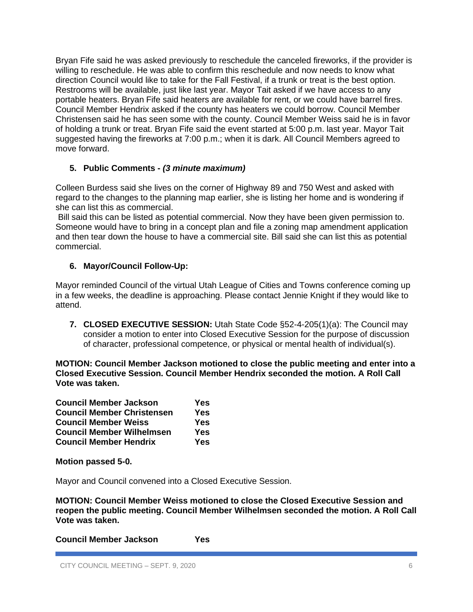Bryan Fife said he was asked previously to reschedule the canceled fireworks, if the provider is willing to reschedule. He was able to confirm this reschedule and now needs to know what direction Council would like to take for the Fall Festival, if a trunk or treat is the best option. Restrooms will be available, just like last year. Mayor Tait asked if we have access to any portable heaters. Bryan Fife said heaters are available for rent, or we could have barrel fires. Council Member Hendrix asked if the county has heaters we could borrow. Council Member Christensen said he has seen some with the county. Council Member Weiss said he is in favor of holding a trunk or treat. Bryan Fife said the event started at 5:00 p.m. last year. Mayor Tait suggested having the fireworks at 7:00 p.m.; when it is dark. All Council Members agreed to move forward.

# **5. Public Comments -** *(3 minute maximum)*

Colleen Burdess said she lives on the corner of Highway 89 and 750 West and asked with regard to the changes to the planning map earlier, she is listing her home and is wondering if she can list this as commercial.

Bill said this can be listed as potential commercial. Now they have been given permission to. Someone would have to bring in a concept plan and file a zoning map amendment application and then tear down the house to have a commercial site. Bill said she can list this as potential commercial.

# **6. Mayor/Council Follow-Up:**

Mayor reminded Council of the virtual Utah League of Cities and Towns conference coming up in a few weeks, the deadline is approaching. Please contact Jennie Knight if they would like to attend.

**7. CLOSED EXECUTIVE SESSION:** Utah State Code §52-4-205(1)(a): The Council may consider a motion to enter into Closed Executive Session for the purpose of discussion of character, professional competence, or physical or mental health of individual(s).

**MOTION: Council Member Jackson motioned to close the public meeting and enter into a Closed Executive Session. Council Member Hendrix seconded the motion. A Roll Call Vote was taken.**

| <b>Council Member Jackson</b>     | Yes |
|-----------------------------------|-----|
| <b>Council Member Christensen</b> | Yes |
| <b>Council Member Weiss</b>       | Yes |
| <b>Council Member Wilhelmsen</b>  | Yes |
| <b>Council Member Hendrix</b>     | Yes |

**Motion passed 5-0.**

Mayor and Council convened into a Closed Executive Session.

**MOTION: Council Member Weiss motioned to close the Closed Executive Session and reopen the public meeting. Council Member Wilhelmsen seconded the motion. A Roll Call Vote was taken.**

**Council Member Jackson Yes**